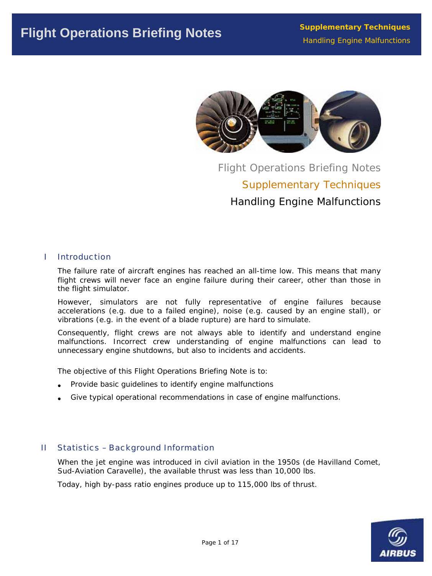

Flight Operations Briefing Notes Supplementary Techniques Handling Engine Malfunctions

## I Introduction

The failure rate of aircraft engines has reached an all-time low. This means that many flight crews will never face an engine failure during their career, other than those in the flight simulator.

However, simulators are not fully representative of engine failures because accelerations (e.g. due to a failed engine), noise (e.g. caused by an engine stall), or vibrations (e.g. in the event of a blade rupture) are hard to simulate.

Consequently, flight crews are not always able to identify and understand engine malfunctions. Incorrect crew understanding of engine malfunctions can lead to unnecessary engine shutdowns, but also to incidents and accidents.

The objective of this Flight Operations Briefing Note is to:

- Provide basic guidelines to identify engine malfunctions
- Give typical operational recommendations in case of engine malfunctions.

# II Statistics – Background Information

When the jet engine was introduced in civil aviation in the 1950s (de Havilland Comet, Sud-Aviation Caravelle), the available thrust was less than 10,000 lbs.

Today, high by-pass ratio engines produce up to 115,000 lbs of thrust.

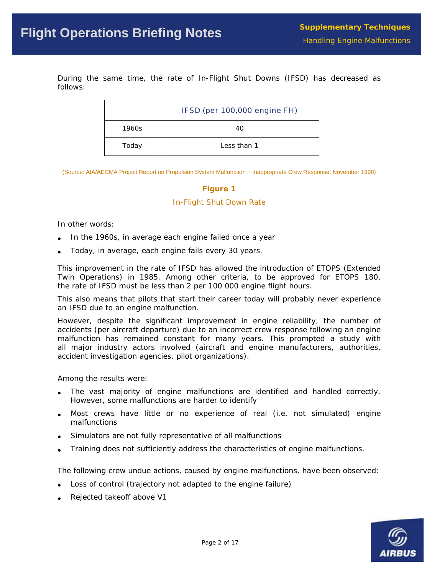During the same time, the rate of In-Flight Shut Downs (IFSD) has decreased as follows:

|       | IFSD (per 100,000 engine FH) |
|-------|------------------------------|
| 1960s | 40                           |
| Today | Less than 1                  |

(Source: AIA/AECMA Project Report on Propulsion System Malfunction + Inappropriate Crew Response, November 1998)

#### **Figure 1**

#### *In-Flight Shut Down Rate*

In other words:

- In the 1960s, in average each engine failed once a year
- Today, in average, each engine fails every 30 years.

This improvement in the rate of IFSD has allowed the introduction of ETOPS (Extended Twin Operations) in 1985. Among other criteria, to be approved for ETOPS 180, the rate of IFSD must be less than 2 per 100 000 engine flight hours.

This also means that pilots that start their career today will probably never experience an IFSD due to an engine malfunction.

However, despite the significant improvement in engine reliability, the number of accidents (per aircraft departure) due to an incorrect crew response following an engine malfunction has remained constant for many years. This prompted a study with all major industry actors involved (aircraft and engine manufacturers, authorities, accident investigation agencies, pilot organizations).

Among the results were:

- The vast majority of engine malfunctions are identified and handled correctly. However, some malfunctions are harder to identify
- Most crews have little or no experience of real (i.e. not simulated) engine malfunctions
- Simulators are not fully representative of all malfunctions
- Training does not sufficiently address the characteristics of engine malfunctions.

The following crew undue actions, caused by engine malfunctions, have been observed:

- Loss of control (trajectory not adapted to the engine failure)
- Rejected takeoff above V1

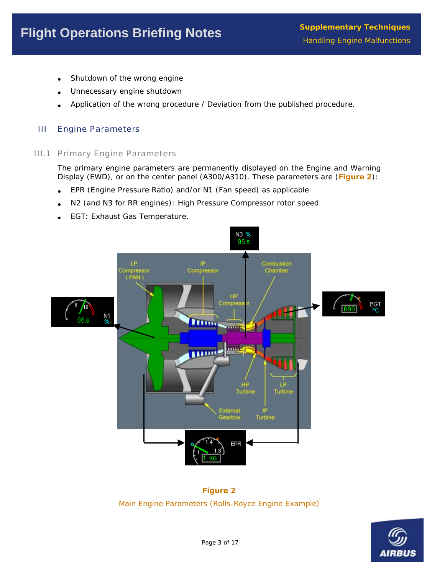- Shutdown of the wrong engine
- Unnecessary engine shutdown
- Application of the wrong procedure / Deviation from the published procedure.

# III Engine Parameters

## III.1 Primary Engine Parameters

The primary engine parameters are permanently displayed on the Engine and Warning Display (EWD), or on the center panel (A300/A310). These parameters are (**Figure 2**):

- EPR (Engine Pressure Ratio) and/or N1 (Fan speed) as applicable
- N2 (and N3 for RR engines): High Pressure Compressor rotor speed
- EGT: Exhaust Gas Temperature.



**Figure 2**  *Main Engine Parameters (Rolls-Royce Engine Example)* 

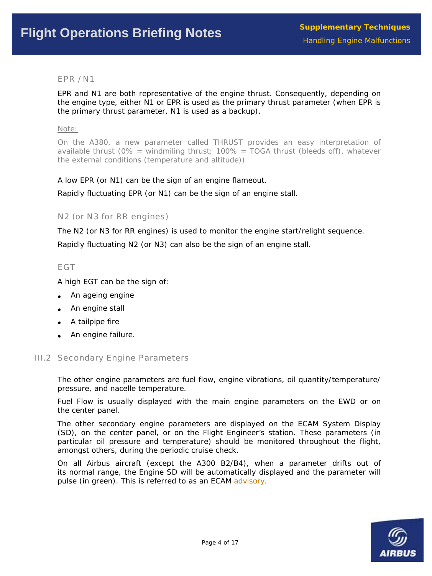## EPR / N1

EPR and N1 are both representative of the engine thrust. Consequently, depending on the engine type, either N1 or EPR is used as the primary thrust parameter (when EPR is the primary thrust parameter, N1 is used as a backup).

#### *Note:*

*On the A380, a new parameter called THRUST provides an easy interpretation of le thrust (0% = windmiling thrust; 100% = TOGA thrust (bleeds off), whatever availab the external conditions (temperature and altitude))* 

A low EPR (or N1) can be the sign of an engine flameout.

Rapidly fluctuating EPR (or N1) can be the sign of an engine stall.

N2 (or N3 for RR engines)

The N2 (or N3 for RR engines) is used to monitor the engine start/relight sequence.

Rapidly fluctuating N2 (or N3) can also be the sign of an engine stall.

## EGT

A high EGT can be the sign of:

- An ageing engine
- An engine stall
- A tailpipe fire
- An engine failure.

# **III.2 Secondary Engine Parameters**

The other engine parameters are fuel flow, engine vibrations, oil quantity/temperature/ pressure, and nacelle temperature.

Fuel Flow is usually displayed with the main engine parameters on the EWD or on the center panel.

(SD), on the center panel, or on the Flight Engineer's station. These parameters (in The other secondary engine parameters are displayed on the ECAM System Display particular oil pressure and temperature) should be monitored throughout the flight, amongst others, during the periodic cruise check.

its normal range, the Engine SD will be automatically displayed and the parameter will pulse (in green). This is referred to as an ECAM advisory. On all Airbus aircraft (except the A300 B2/B4), when a parameter drifts out of

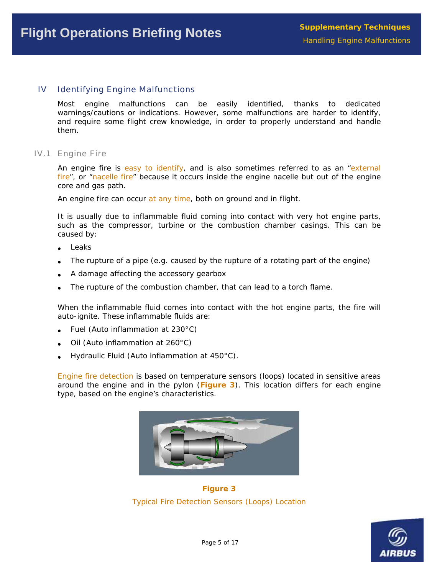#### IV Identifying Engine Malfunctions

Most engine malfunctions can be easily identified, thanks to dedicated warnings/cautions or indications. However, some malfunctions are harder to identify, and require some flight crew knowledge, in order to properly understand and handle them.

IV.1 Engine Fire

An engine fire is easy to identify, and is also sometimes referred to as an "external fire", or "nacelle fire" because it occurs inside the engine nacelle but out of the engine core and gas path.

An engine fire can occur at any time, both on ground and in flight.

It is usually due to inflammable fluid coming into contact with very hot engine parts, such as the compressor, turbine or the combustion chamber casings. This can be caused by:

- **Leaks**
- The rupture of a pipe (e.g. caused by the rupture of a rotating part of the engine)
- A damage affecting the accessory gearbox
- The rupture of the combustion chamber, that can lead to a torch flame.

When the inflammable fluid comes into contact with the hot engine parts, the fire will auto-ignite. These inflammable fluids are:

- Fuel (Auto inflammation at 230°C)
- Oil (Auto inflammation at 260°C)
- Hydraulic Fluid (Auto inflammation at 450°C).

Engine fire detection is based on temperature sensors (loops) located in sensitive areas around the engine and in the pylon (**Figure 3**). This location differs for each engine type, based on the engine's characteristics.



**Figure 3**  *Typical Fire Detection Sensors (Loops) Location* 

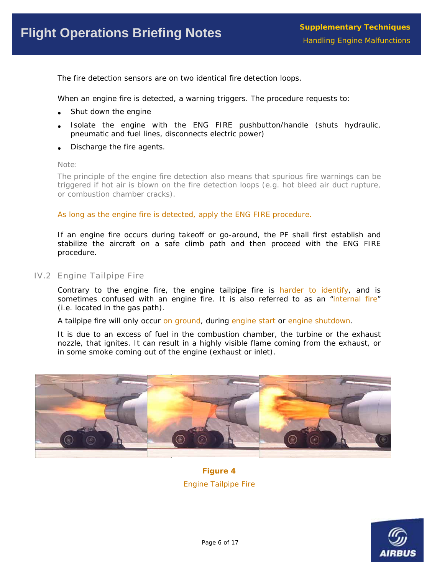The fire detection sensors are on two identical fire detection loops.

When an engine fire is detected, a warning triggers. The procedure requests to:

- Shut down the engine
- pneumatic and fuel lines, disconnects electric power) • Isolate the engine with the ENG FIRE pushbutton/handle (shuts hydraulic,
- Discharge the fire agents.

#### Note:

*The principle of the engine fire detection also means that spurious fire warnings can be triggered if hot air is blown on the fire detection loops (e.g. hot bleed air duct rupture, or combustion chamber cracks).* 

As long as the engine fire is detected, apply the ENG FIRE procedure.

If an engine fire occurs during takeoff or go-around, the PF shall first establish and stabilize the aircraft on a safe climb path and then proceed with the ENG FIRE procedure.

IV.2 Engine Tailpipe Fire

Contrary to the engine fire, the engine tailpipe fire is harder to identify, and is sometimes confused with an engine fire. It is also referred to as an "internal fire" (i.e. located in the gas path).

A tailpipe fire will only occur on ground, during engine start or engine shutdown.

It is due to an excess of fuel in the combustion chamber, the turbine or the exhaust nozzle, that ignites. It can result in a highly visible flame coming from the exhaust, or in some smoke coming out of the engine (exhaust or inlet).



*Fire Engine Tailpipe*  **Figure 4** 

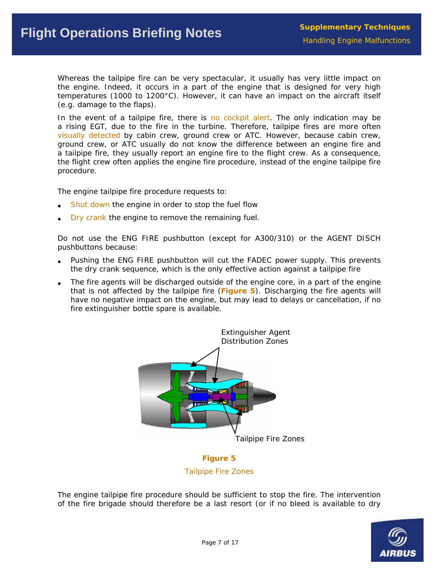Whereas the tailpipe fire can be very spectacular, it usually has very little impact on the engine. Indeed, it occurs in a part of the engine that is designed for very high temperatures (1000 to 1200 $^{\circ}$ C). However, it can have an impact on the aircraft itself (e.g. damage to the flaps).

In the event of a tailpipe fire, there is no cockpit alert. The only indication may be visually detected by cabin crew, ground crew or ATC. However, because cabin crew, ground crew, or ATC usually do not know the difference between an engine fire and a tailpipe fire, they usually report an engine fire to the flight crew. As a consequence, the flight crew often applies the engine fire procedure, instead of the engine tailpipe fire a rising EGT, due to the fire in the turbine. Therefore, tailpipe fires are more often procedure.

The engine tailpipe fire procedure requests to:

- Shut down the engine in order to stop the fuel flow
- Dry crank the engine to remove the remaining fuel.

Do not use the ENG FIRE pushbutton (except for A300/310) or the AGENT DISCH pushbuttons because:

- Pushing the ENG FIRE pushbutton will cut the FADEC power supply. This prevents the dry crank sequence, which is the only effective action against a tailpipe fire
- The fire agents will be discharged outside of the engine core, in a part of the engine fire extinguisher bottle spare is available. that is not affected by the tailpipe fire (**Figure 5**). Discharging the fire agents will have no negative impact on the engine, but may lead to delays or cancellation, if no



**Tailpipe Fire Zones Figure 5** 

The engine tailpipe fire procedure should be sufficient to stop the fire. The intervention of the fire brigade should therefore be a last resort (or if no bleed is available to dry

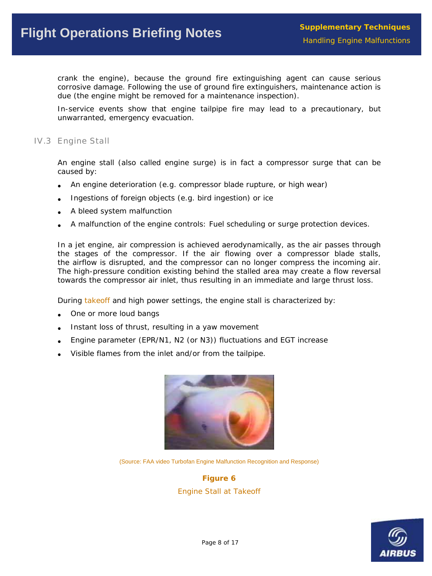crank the engine), because the ground fire extinguishing agent can cause serious corrosive damage. Following the use of ground fire extinguishers, maintenance action is due (the engine might be removed for a maintenance inspection).

In-service events show that engine tailpipe fire may lead to a precautionary, but unwarranted, emergency evacuation.

### IV.3 Engine Stall

An engine stall (also called engine surge) is in fact a compressor surge that can be caused by:

- An engine deterioration (e.g. compressor blade rupture, or high wear) •
- Ingestions of foreign objects (e.g. bird ingestion) or ice •
- A bleed system malfunction
- A malfunction of the engine controls: Fuel scheduling or surge protection devices.

In a jet engine, air compression is achieved aerodynamically, as the air passes through the stages of the compressor. If the air flowing over a compressor blade stalls, The high-pressure condition existing behind the stalled area may create a flow reversal towards the compressor air inlet, thus resulting in an immediate and large thrust loss. the airflow is disrupted, and the compressor can no longer compress the incoming air.

During takeoff and high power settings, the engine stall is characterized by:

- One or more loud bangs
- Instant loss of thrust, resulting in a yaw movement
- Engine parameter (EPR/N1, N2 (or N3)) fluctuations and EGT increase
- Visible flames from the inlet and/or from the tailpipe.



(Source: FAA video Turbofan Engine Malfunction Recognition and Response)

**Figure 6**  *Engine Stall at Takeoff* 

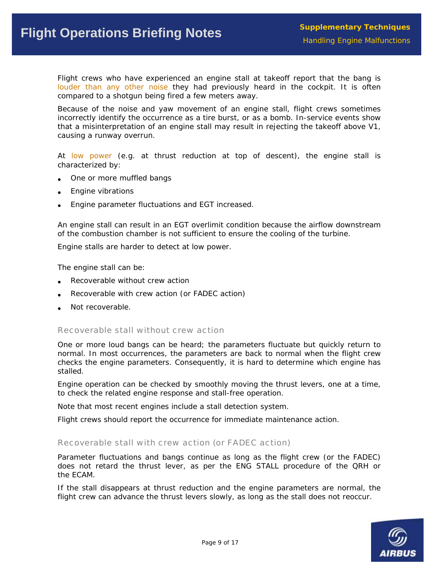Flight crews who have experienced an engine stall at takeoff report that the bang is louder than any other noise they had previously heard in the cockpit. It is often compared to a shotgun being fired a few meters away.

Because of the noise and yaw movement of an engine stall, flight crews sometimes incorrectly identify the occurrence as a tire burst, or as a bomb. In-service events show that a misinterpretation of an engine stall may result in rejecting the takeoff above V1, causing a runway overrun.

At low power (e.g. at thrust reduction at top of descent), the engine stall is characterized by:

- One or more muffled bangs •
- Engine vibrations •
- Engine parameter fluctuations and EGT increased. •

of the combustion chamber is not sufficient to ensure the cooling of the turbine. An engine stall can result in an EGT overlimit condition because the airflow downstream

Engine stalls are harder to detect at low power.

The engine stall can be:

- Recoverable without crew action
- Recoverable with crew action (or FADEC action) •
- Not recoverable.

Recoverable stall without crew action

One or more loud bangs can be heard; the parameters fluctuate but quickly return to normal. In most occurrences, the parameters are back to normal when the flight crew checks the engine parameters. Consequently, it is hard to determine which engine has stalled.

Engine operation can be checked by smoothly moving the thrust levers, one at a time, to check the related engine response and stall-free operation.

Note that most recent engines include a stall detection system.

Flight crews should report the occurrence for immediate maintenance action.

Recoverable stall with crew action (or FADEC action)

Parameter fluctuations and bangs continue as long as the flight crew (or the FADEC) does not retard the thrust lever, as per the ENG STALL procedure of the QRH or the ECAM.

If the stall disappears at thrust reduction and the engine parameters are normal, the flight crew can advance the thrust levers slowly, as long as the stall does not reoccur.

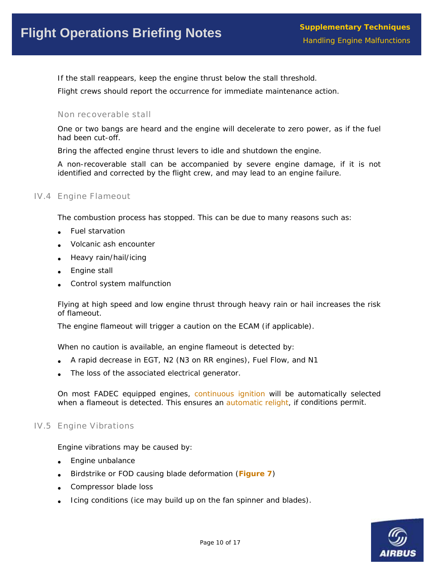If the stall reappears, keep the engine thrust below the stall threshold.

Flight crews should report the occurrence for immediate maintenance action.

### Non recoverable stall

One or two bangs are heard and the engine will decelerate to zero power, as if the fuel had been cut-off.

Bring the affected engine thrust levers to idle and shutdown the engine.

A non-recoverable stall can be accompanied by severe engine damage, if it is not identified and corrected by the flight crew, and may lead to an engine failure.

## IV.4 Engin e Flameout

The combustion process has stopped. This can be due to many reasons such as:

- Fuel starvation
- Volcanic ash encounter
- Heavy rain/hail/icing
- Engine stall
- Control system malfunction

Flying at high speed and low engine thrust through heavy rain or hail increases the risk of flameout.

The engine flameout will trigger a caution on the ECAM (if applicable).

When no caution is available, an engine flameout is detected by:

- A rapid decrease in EGT, N2 (N3 on RR engines), Fuel Flow, and N1
- The loss of the associated electrical generator.

On most FADEC equipped engines, continuous ignition will be automatically selected when a flameout is detected. This ensures an automatic relight, if conditions permit.

#### IV.5 Engin e Vibrations

Engine vibrations may be caused by:

- Engine unbalance
- **•** Birdstrike or FOD causing blade deformation (Figure 7)
- Compressor blade loss
- Icing conditions (ice may build up on the fan spinner and blades).

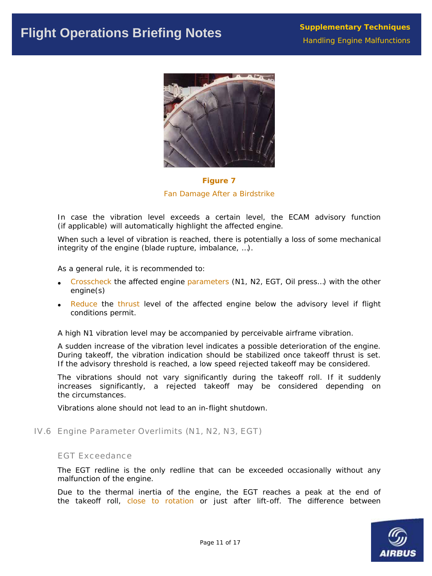

**Figure 7**  *Fan Damage After a Birdstrike* 

In case the vibration level exceeds a certain level, the ECAM advisory function (if applicable) will automatically highlight the affected engine.

When such a level of vibration is reached, there is potentially a loss of some mechanical integrity of the engine (blade rupture, imbalance, ...).

As a general rule, it is recommended to:

- Crosscheck the affected engine parameters (N1, N2, EGT, Oil press...) with the other engine(s)
- conditions permit. Reduce the thrust level of the affected engine below the advisory level if flight

A high N1 vibration level may be accompanied by perceivable airframe vibration.

A sudden increase of the vibration level indicates a possible deterioration of the engine. During takeoff, the vibration indication should be stabilized once takeoff thrust is set. If the advisory threshold is reached, a low speed rejected takeoff may be considered.

The vibrations should not vary significantly during the takeoff roll. If it suddenly increases significantly, a rejected takeoff may be considered depending on the circumstances.

Vibrations alone should not lead to an in-flight shutdown.

IV.6 Engine Parameter Overlimits (N1, N2, N3, EGT)

#### EGT Exceedance

The EGT redline is the only redline that can be exceeded occasionally without any malfunction of the engine.

Due to the thermal inertia of the engine, the EGT reaches a peak at the end of the takeoff roll, close to rotation or just after lift-off. The difference between

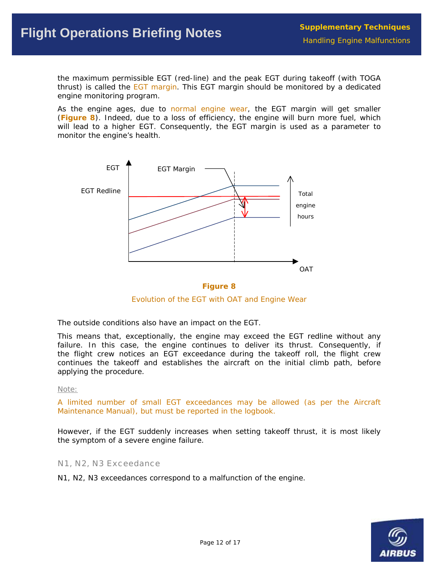the maximum permissible EGT (red-line) and the peak EGT during takeoff (with TOGA thrust) is called the **EGT** margin. This EGT margin should be monitored by a dedicated engine monitoring program.

As the engine ages, due to normal engine wear, the EGT margin will get smaller (**Figure 8**). Indeed, due to a loss of efficiency, the engine will burn more fuel, which will lead to a higher EGT. Consequently, the EGT margin is used as a parameter to monitor the engine's health.





*Evolution of the EGT with OAT and Engine Wear* 

The outside conditions also have an impact on the EGT.

This means that, exceptionally, the engine may exceed the EGT redline without any continues the takeoff and establishes the aircraft on the initial climb path, before failure. In this case, the engine continues to deliver its thrust. Consequently, if the flight crew notices an EGT exceedance during the takeoff roll, the flight crew applying the procedure.

#### *Note:*

*A limited number of small EGT exceedances may be allowed (as per the Aircraft Maintenance Manual), but must be reported in the logbook .* 

However, if the EGT suddenly increases when setting takeoff thrust, it is most likely the symptom of a severe engine failure.

N1, N2, N3 Exceedance

N1, N2, N3 exceedances correspond to a malfunction of the engine.

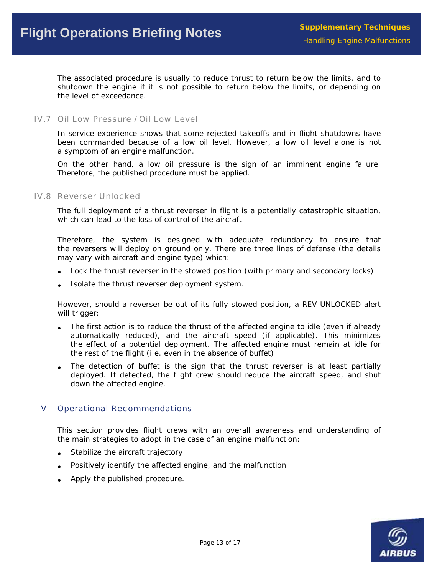The associated procedure is usually to reduce thrust to return below the limits, and to shutdown the engine if it is not possible to return below the limits, or depending on the level of exceedance.

## IV.7 Oil Low Pressure / Oil Low Level

In service experience shows that some rejected takeoffs and in-flight shutdowns have been commanded because of a low oil level. However, a low oil level alone is not a symptom of an engine malfunction.

On the other hand, a low oil pressure is the sign of an imminent engine failure. Therefore, the published procedure must be applied.

#### IV.8 Reverser Unlocked

The full deployment of a thrust reverser in flight is a potentially catastrophic situation, which can lead to the loss of control of the aircraft.

Therefore, the system is designed with adequate redundancy to ensure that the reversers will deploy on ground only. There are three lines of defense (the details may vary with aircraft and engine type) which:

- Lock the thrust reverser in the stowed position (with primary and secondary locks)
- Isolate the thrust reverser deployment system. •

However, should a reverser be out of its fully stowed position, a REV UNLOCKED alert will trigger:

- The first action is to reduce the thrust of the affected engine to idle (even if already automatically reduced), and the aircraft speed (if applicable). This minimizes the effect of a potential deployment. The affected engine must remain at idle for the rest of the flight (i.e. even in the absence of buffet)
- down the affected engine. The detection of buffet is the sign that the thrust reverser is at least partially deployed. If detected, the flight crew should reduce the aircraft speed, and shut

## **V** Operational Recommendations

This section provides flight crews with an overall awareness and understanding of the main strategies to adopt in the case of an engine malfunction:

- Stabilize the aircraft trajectory
- Positively identify the affected engine, and the malfunction
- Apply the published procedure.

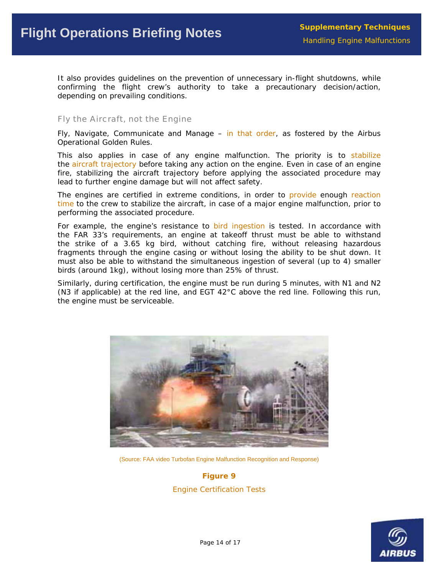It also provides guidelines on the prevention of unnecessary in-flight shutdowns, while confirming the flight crew's authority to take a precautionary decision/action, depending on prevailing conditions.

### Fly the Aircraft, not the Engine

Fly, Navigate, Communicate and Manage  $-$  in that order, as fostered by the Airbus Operational Golden Rules.

This also applies in case of any engine malfunction. The priority is to stabilize fire, stabilizing the aircraft trajectory before applying the associated procedure may lead to further engine damage but will not affect safety. the aircraft trajectory before taking any action on the engine. Even in case of an engine

The engines are certified in extreme conditions, in order to provide enough reaction time to the crew to stabilize the aircraft, in case of a major engine malfunction, prior to performing the associated procedure.

For example, the engine's resistance to bird ingestion is tested. In accordance with must also be able to withstand the simultaneous ingestion of several (up to 4) smaller the FAR 33's requirements, an engine at takeoff thrust must be able to withstand the strike of a 3.65 kg bird, without catching fire, without releasing hazardous fragments through the engine casing or without losing the ability to be shut down. It birds (around 1kg), without losing more than 25% of thrust.

Similarly, during certification, the engine must be run during 5 minutes, with N1 and N2 (N3 if applicable) at the red line, and EGT 42°C above the red line. Following this run, the engine must be serviceable.



(Source: FAA video Turbofan Engine Malfunction Recognition and Response)

**Figure 9**  *Engine Certification Tests* 

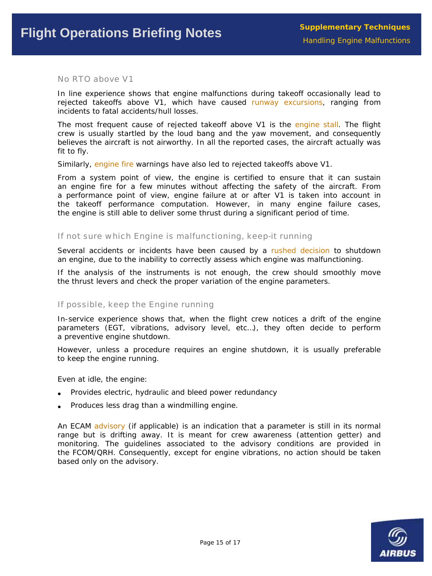No RTO above V1

In line experience shows that engine malfunctions during takeoff occasionally lead to rejected takeoffs above V1, which have caused runway excursions, ranging from incidents to fatal accidents/hull losses.

The most frequent cause of rejected takeoff above V1 is the engine stall. The flight believes the aircraft is not airworthy. In all the reported cases, the aircraft actually was crew is usually startled by the loud bang and the yaw movement, and consequently fit to fly.

Similarly, engine fire warnings have also led to rejected takeoffs above V1.

an engine fire for a few minutes without affecting the safety of the aircraft. From the engine is still able to deliver some thrust during a significant period of time. From a system point of view, the engine is certified to ensure that it can sustain a performance point of view, engine failure at or after V1 is taken into account in the takeoff performance computation. However, in many engine failure cases,

#### If not sure which Engine is malfunctioning, keep-it running

Several accidents or incidents have been caused by a rushed decision to shutdown an engine, due to the inability to correctly assess which engine was malfunctioning.

If the analysis of the instruments is not enough, the crew should smoothly move the thrust levers and check the proper variation of the engine parameters.

#### If possible, keep the Engine running

In-service experience shows that, when the flight crew notices a drift of the engine parameters (EGT, vibrations, advisory level, etc...), they often decide to perform a preventive engine shutdown.

However, unless a procedure requires an engine shutdown, it is usually preferable to keep the engine running.

Even at idle, the engine:

- Provides electric, hydraulic and bleed power redundancy
- Produces less drag than a windmilling engine.

An ECAM advisory (if applicable) is an indication that a parameter is still in its normal range but is drifting away. It is meant for crew awareness (attention getter) and monitoring. The guidelines associated to the advisory conditions are provided in the FCOM/QRH. Consequently, except for engine vibrations, no action should be taken based only on th e advisory.

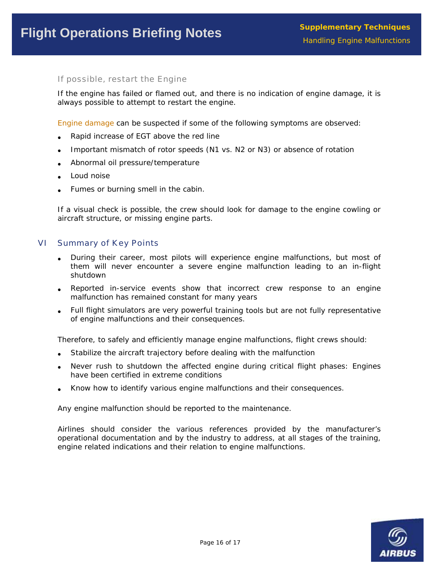If possible, restart the Engine

If the engine has failed or flamed out, and there is no indication of engine damage, it is always possible to attempt to restart the engine.

Engine damage can be suspected if some of the following symptoms are observed:

- Rapid increase of EGT above the red line
- Important mismatch of rotor speeds (N1 vs. N2 or N3) or absence of rotation
- Abnormal oil pressure/temperature
- Loud noise
- Fumes or burning smell in the cabin.

If a visual check is possible, the crew should look for damage to the engine cowling or aircraft structure, or missing engine parts.

#### VI Summary of Key Points

- During their career, most pilots will experience engine malfunctions, but most of them will never encounter a severe engine malfunction leading to an in-flight shutdown
- Reported in-service events show that incorrect crew response to an engine malfunction has remained constant for many years
- Full flight simulators are very powerful training tools but are not fully representative of engine malfunctions and their consequences.

Therefore, to safely and efficiently manage engine malfunctions, flight crews should:

- Stabilize the aircraft trajectory before dealing with the malfunction
- Never rush to shutdown the affected engine during critical flight phases: Engines have been certified in extreme conditions
- Know how to identify various engine malfunctions and their consequences.

Any engine malfunction should be reported to the maintenance.

Airlines should consider the various references provided by the manufacturer's operational documentation and by the industry to address, at all stages of the training, engine related indications and their relation to engine malfunctions.